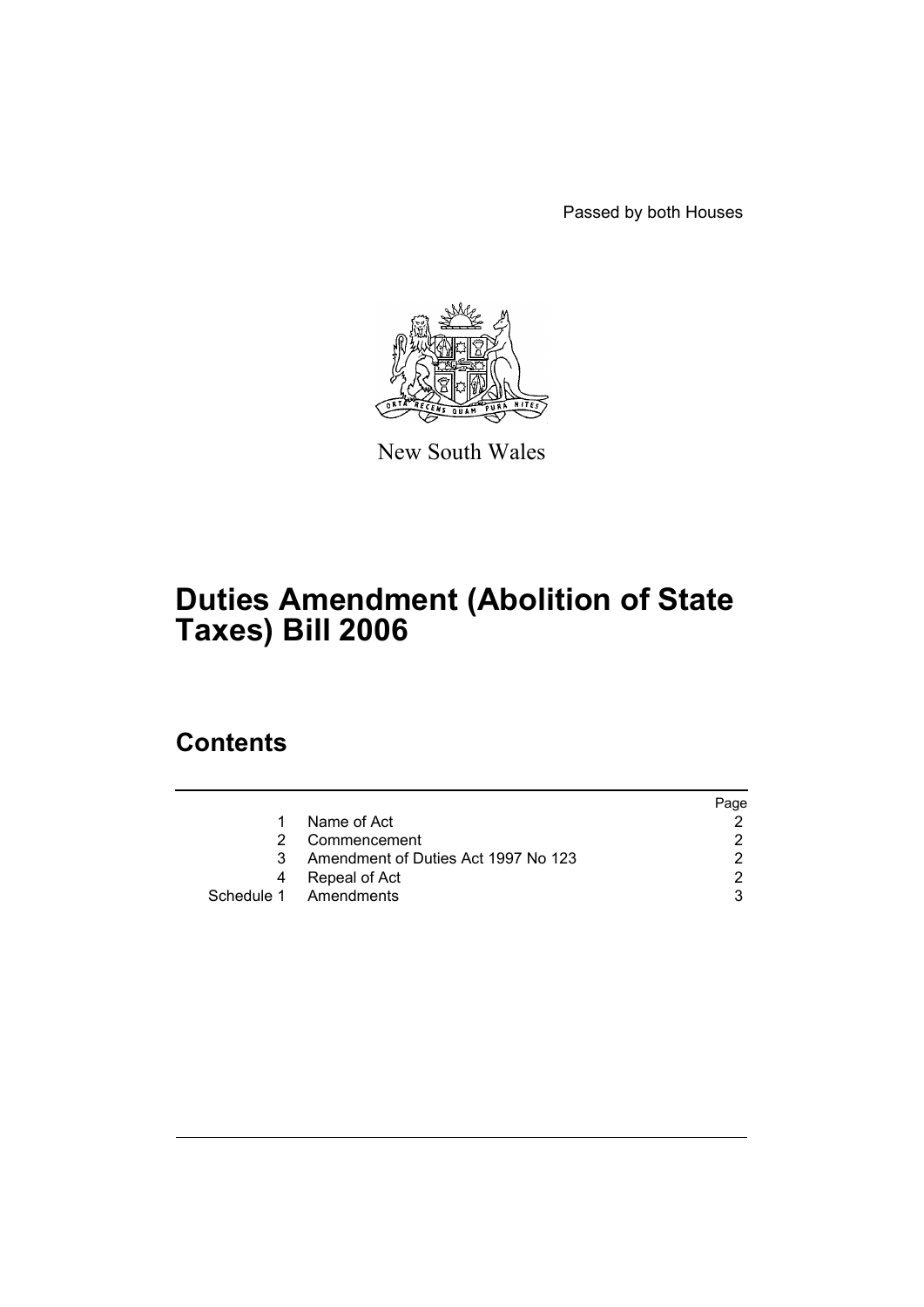Passed by both Houses



New South Wales

# **Duties Amendment (Abolition of State Taxes) Bill 2006**

# **Contents**

|    |                                     | Page |
|----|-------------------------------------|------|
| 1. | Name of Act                         |      |
| 2  | Commencement                        |      |
| 3  | Amendment of Duties Act 1997 No 123 |      |
| 4  | Repeal of Act                       |      |
|    | Schedule 1 Amendments               |      |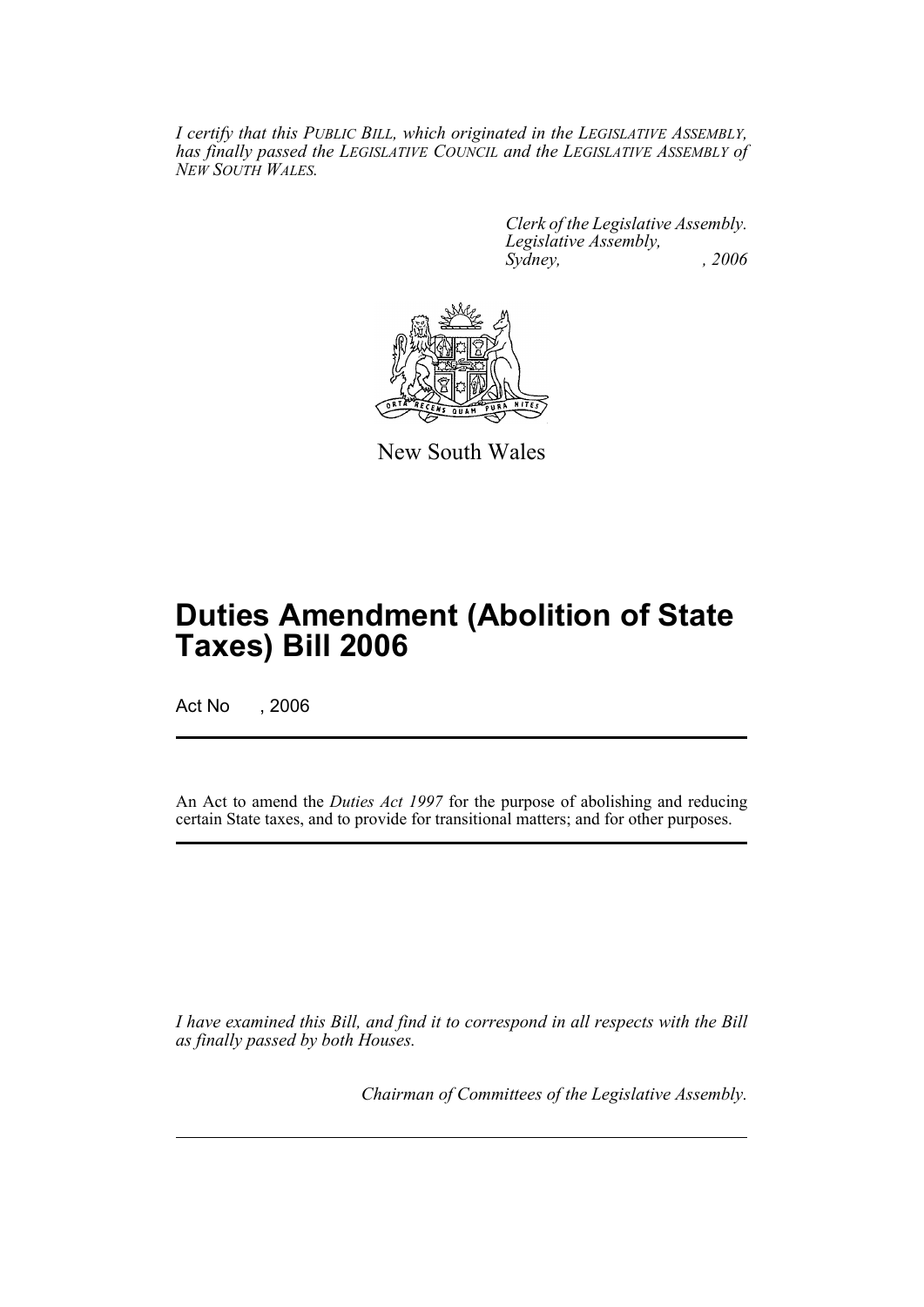*I certify that this PUBLIC BILL, which originated in the LEGISLATIVE ASSEMBLY, has finally passed the LEGISLATIVE COUNCIL and the LEGISLATIVE ASSEMBLY of NEW SOUTH WALES.*

> *Clerk of the Legislative Assembly. Legislative Assembly, Sydney, , 2006*



New South Wales

# **Duties Amendment (Abolition of State Taxes) Bill 2006**

Act No , 2006

An Act to amend the *Duties Act 1997* for the purpose of abolishing and reducing certain State taxes, and to provide for transitional matters; and for other purposes.

*I have examined this Bill, and find it to correspond in all respects with the Bill as finally passed by both Houses.*

*Chairman of Committees of the Legislative Assembly.*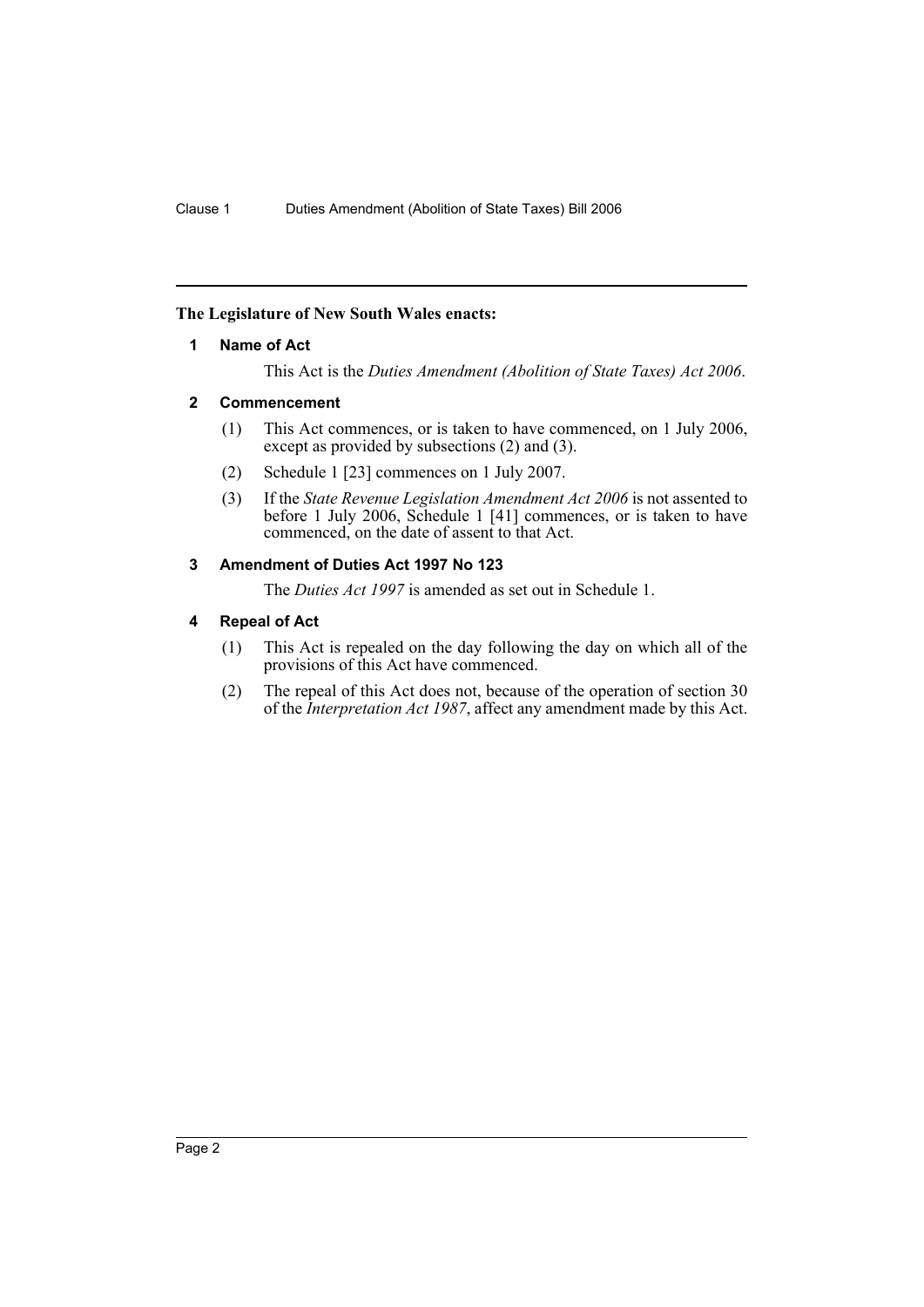# **The Legislature of New South Wales enacts:**

# **1 Name of Act**

This Act is the *Duties Amendment (Abolition of State Taxes) Act 2006*.

# **2 Commencement**

- (1) This Act commences, or is taken to have commenced, on 1 July 2006, except as provided by subsections (2) and (3).
- (2) Schedule 1 [23] commences on 1 July 2007.
- (3) If the *State Revenue Legislation Amendment Act 2006* is not assented to before 1 July 2006, Schedule 1 [41] commences, or is taken to have commenced, on the date of assent to that Act.

# **3 Amendment of Duties Act 1997 No 123**

The *Duties Act 1997* is amended as set out in Schedule 1.

# **4 Repeal of Act**

- (1) This Act is repealed on the day following the day on which all of the provisions of this Act have commenced.
- (2) The repeal of this Act does not, because of the operation of section 30 of the *Interpretation Act 1987*, affect any amendment made by this Act.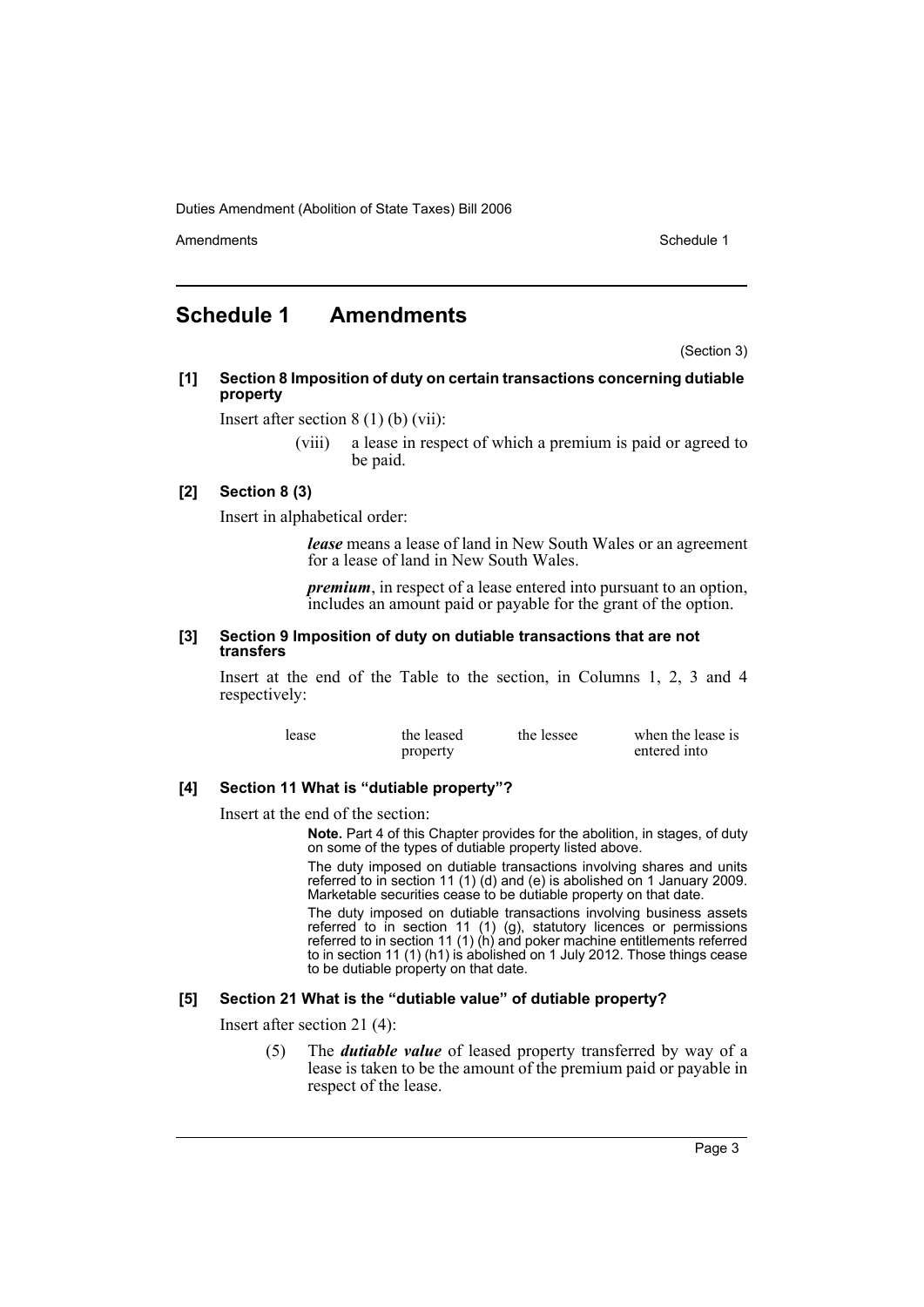Amendments **Amendments** Schedule 1

# **Schedule 1 Amendments**

(Section 3)

**[1] Section 8 Imposition of duty on certain transactions concerning dutiable property**

Insert after section 8 (1) (b) (vii):

(viii) a lease in respect of which a premium is paid or agreed to be paid.

# **[2] Section 8 (3)**

Insert in alphabetical order:

*lease* means a lease of land in New South Wales or an agreement for a lease of land in New South Wales.

*premium*, in respect of a lease entered into pursuant to an option, includes an amount paid or payable for the grant of the option.

#### **[3] Section 9 Imposition of duty on dutiable transactions that are not transfers**

Insert at the end of the Table to the section, in Columns 1, 2, 3 and 4 respectively:

| lease | the leased | the lessee | when the lease is |
|-------|------------|------------|-------------------|
|       | property   |            | entered into      |

# **[4] Section 11 What is "dutiable property"?**

Insert at the end of the section:

**Note.** Part 4 of this Chapter provides for the abolition, in stages, of duty on some of the types of dutiable property listed above.

The duty imposed on dutiable transactions involving shares and units referred to in section 11 (1) (d) and (e) is abolished on 1 January 2009. Marketable securities cease to be dutiable property on that date.

The duty imposed on dutiable transactions involving business assets referred to in section 11 (1) (g), statutory licences or permissions referred to in section 11 (1) (h) and poker machine entitlements referred to in section 11 (1) (h1) is abolished on 1 July 2012. Those things cease to be dutiable property on that date.

# **[5] Section 21 What is the "dutiable value" of dutiable property?**

Insert after section 21 (4):

(5) The *dutiable value* of leased property transferred by way of a lease is taken to be the amount of the premium paid or payable in respect of the lease.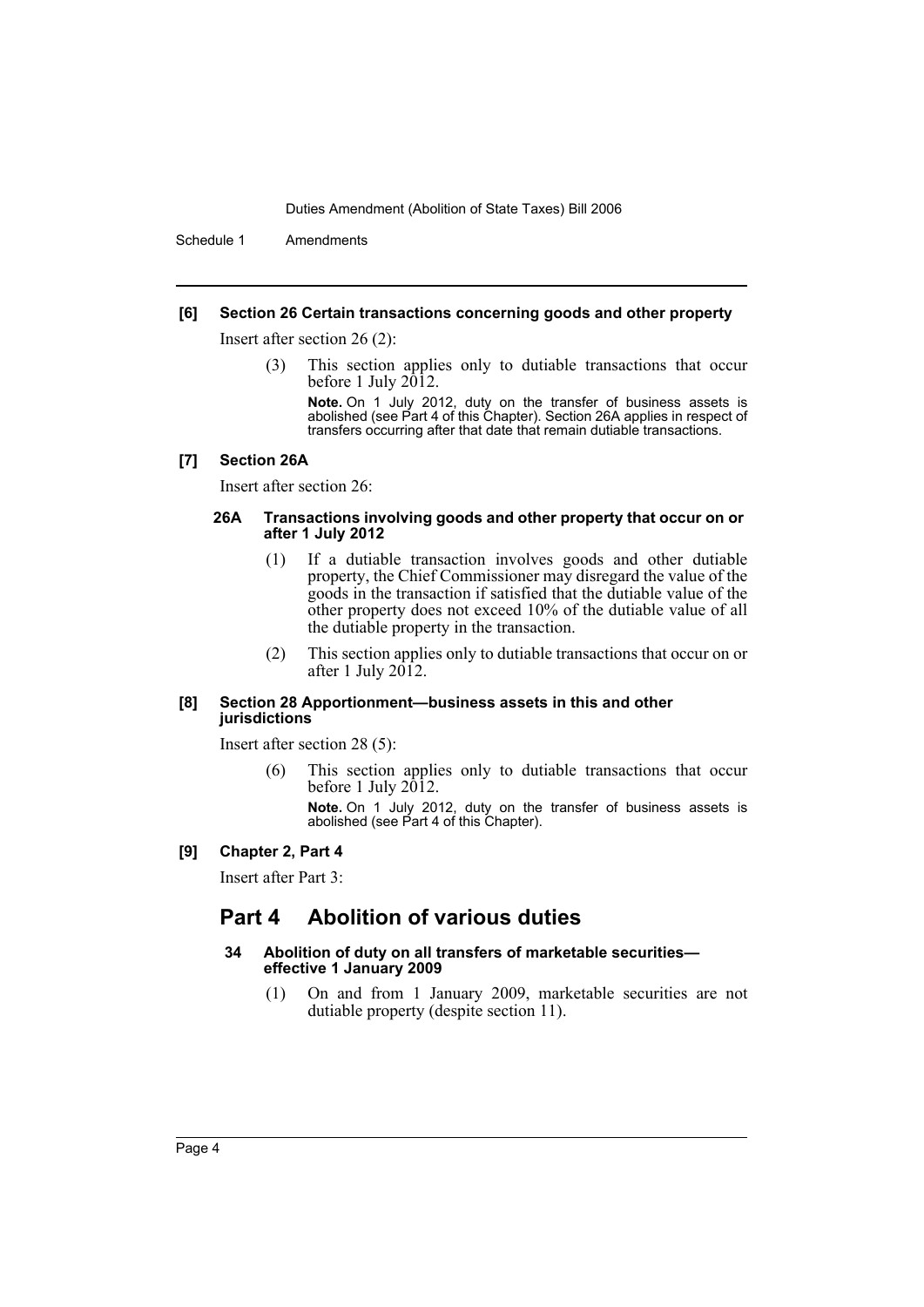Schedule 1 Amendments

#### **[6] Section 26 Certain transactions concerning goods and other property**

Insert after section 26 (2):

(3) This section applies only to dutiable transactions that occur before 1 July 2012.

**Note.** On 1 July 2012, duty on the transfer of business assets is abolished (see Part 4 of this Chapter). Section 26A applies in respect of transfers occurring after that date that remain dutiable transactions.

#### **[7] Section 26A**

Insert after section 26:

#### **26A Transactions involving goods and other property that occur on or after 1 July 2012**

- (1) If a dutiable transaction involves goods and other dutiable property, the Chief Commissioner may disregard the value of the goods in the transaction if satisfied that the dutiable value of the other property does not exceed 10% of the dutiable value of all the dutiable property in the transaction.
- (2) This section applies only to dutiable transactions that occur on or after 1 July  $2012$ .

#### **[8] Section 28 Apportionment—business assets in this and other jurisdictions**

Insert after section 28 (5):

(6) This section applies only to dutiable transactions that occur before 1 July 2012.

**Note.** On 1 July 2012, duty on the transfer of business assets is abolished (see Part 4 of this Chapter).

#### **[9] Chapter 2, Part 4**

Insert after Part 3:

# **Part 4 Abolition of various duties**

#### **34 Abolition of duty on all transfers of marketable securities effective 1 January 2009**

(1) On and from 1 January 2009, marketable securities are not dutiable property (despite section 11).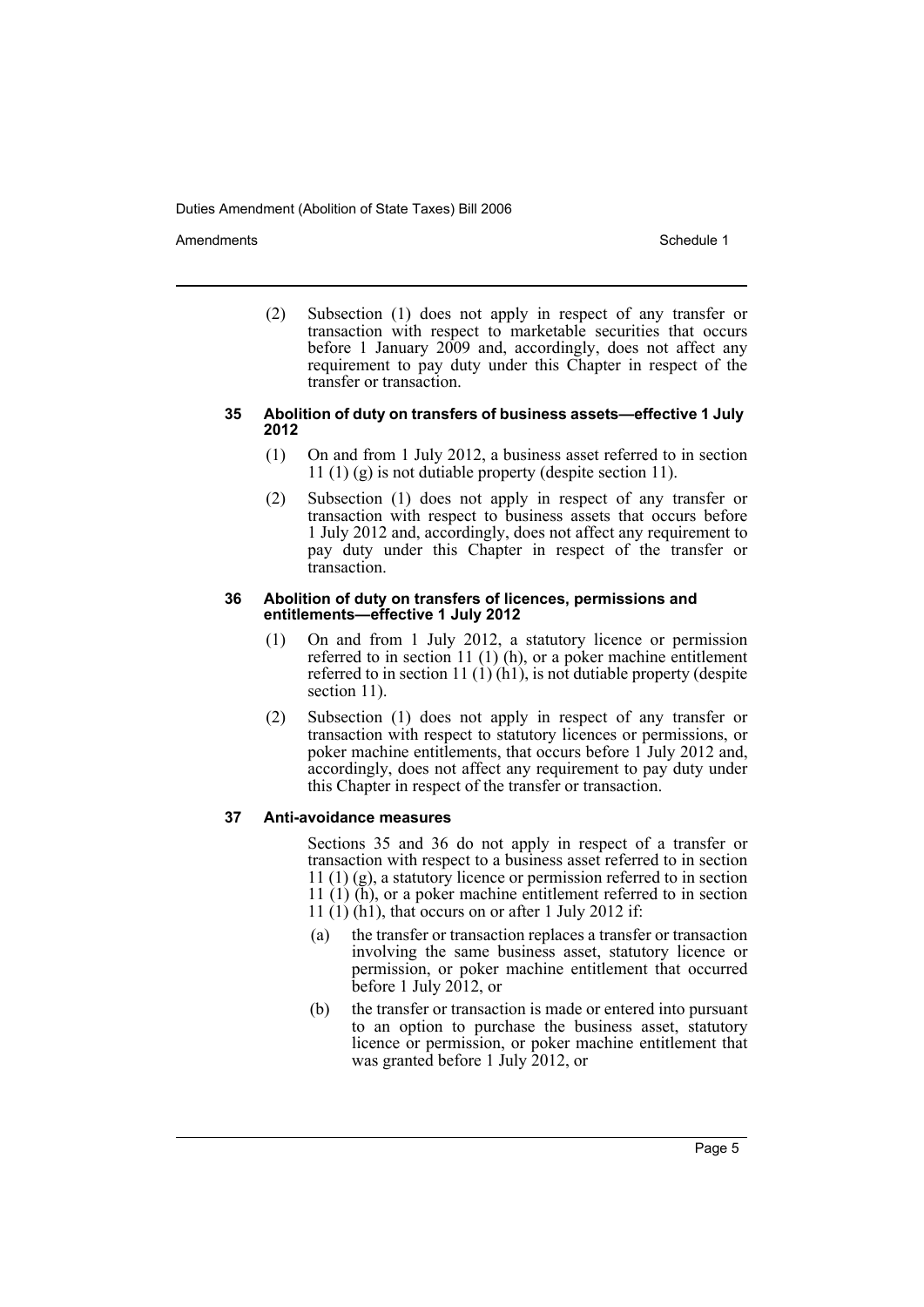Amendments **Amendments** Schedule 1

(2) Subsection (1) does not apply in respect of any transfer or transaction with respect to marketable securities that occurs before 1 January 2009 and, accordingly, does not affect any requirement to pay duty under this Chapter in respect of the transfer or transaction.

#### **35 Abolition of duty on transfers of business assets—effective 1 July 2012**

- (1) On and from 1 July 2012, a business asset referred to in section 11 (1) (g) is not dutiable property (despite section 11).
- (2) Subsection (1) does not apply in respect of any transfer or transaction with respect to business assets that occurs before 1 July 2012 and, accordingly, does not affect any requirement to pay duty under this Chapter in respect of the transfer or transaction.

#### **36 Abolition of duty on transfers of licences, permissions and entitlements—effective 1 July 2012**

- (1) On and from 1 July 2012, a statutory licence or permission referred to in section 11 (1) (h), or a poker machine entitlement referred to in section 11 (1) (h1), is not dutiable property (despite section 11).
- (2) Subsection (1) does not apply in respect of any transfer or transaction with respect to statutory licences or permissions, or poker machine entitlements, that occurs before 1 July 2012 and, accordingly, does not affect any requirement to pay duty under this Chapter in respect of the transfer or transaction.

# **37 Anti-avoidance measures**

Sections 35 and 36 do not apply in respect of a transfer or transaction with respect to a business asset referred to in section 11 (1) (g), a statutory licence or permission referred to in section 11  $(1)$   $(h)$ , or a poker machine entitlement referred to in section 11 (1) (h1), that occurs on or after 1 July 2012 if:

- (a) the transfer or transaction replaces a transfer or transaction involving the same business asset, statutory licence or permission, or poker machine entitlement that occurred before 1 July 2012, or
- (b) the transfer or transaction is made or entered into pursuant to an option to purchase the business asset, statutory licence or permission, or poker machine entitlement that was granted before 1 July 2012, or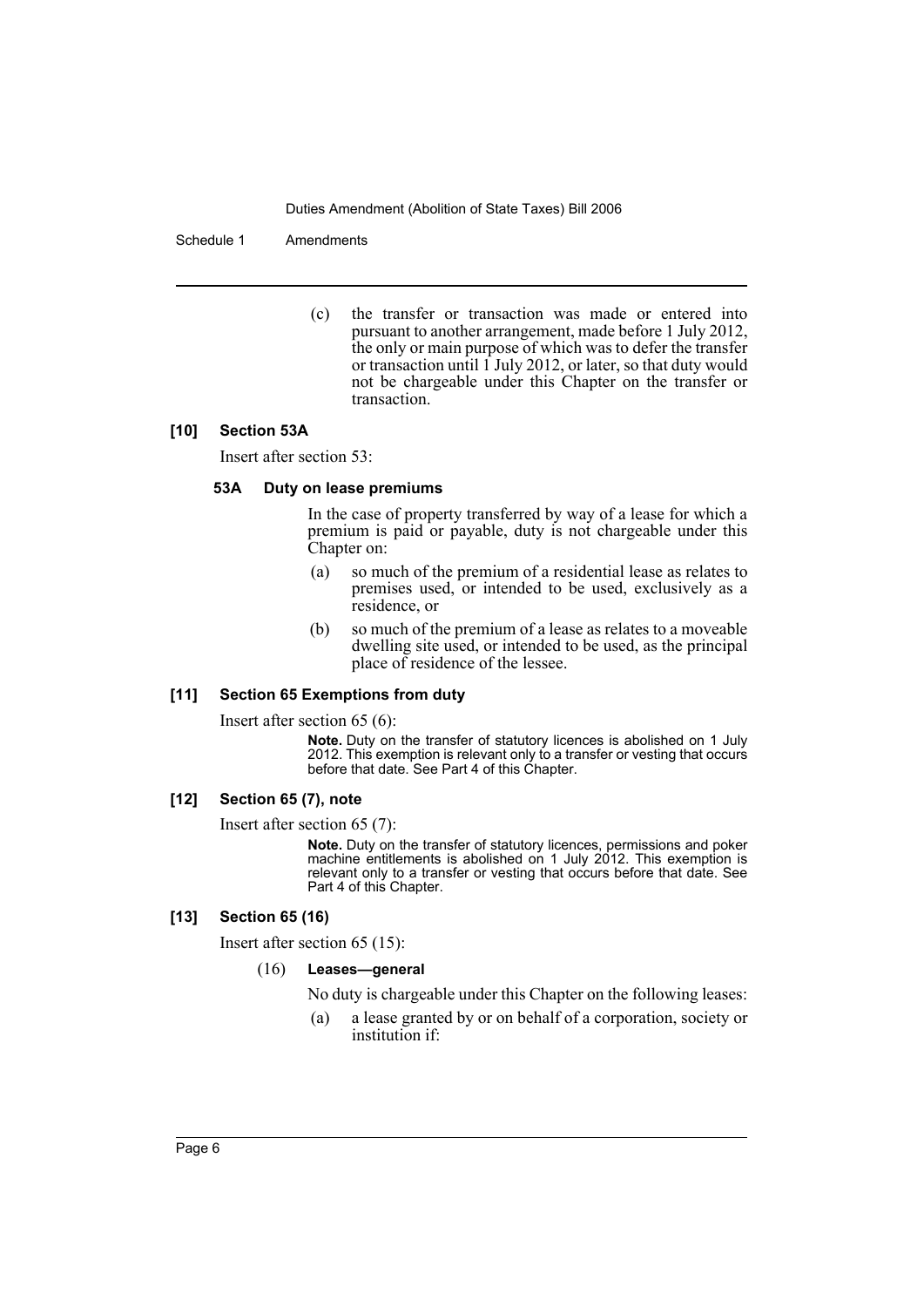#### Schedule 1 Amendments

(c) the transfer or transaction was made or entered into pursuant to another arrangement, made before 1 July 2012, the only or main purpose of which was to defer the transfer or transaction until  $1$  July 2012, or later, so that duty would not be chargeable under this Chapter on the transfer or transaction.

#### **[10] Section 53A**

Insert after section 53:

#### **53A Duty on lease premiums**

In the case of property transferred by way of a lease for which a premium is paid or payable, duty is not chargeable under this Chapter on:

- (a) so much of the premium of a residential lease as relates to premises used, or intended to be used, exclusively as a residence, or
- (b) so much of the premium of a lease as relates to a moveable dwelling site used, or intended to be used, as the principal place of residence of the lessee.

# **[11] Section 65 Exemptions from duty**

Insert after section 65 (6):

**Note.** Duty on the transfer of statutory licences is abolished on 1 July 2012. This exemption is relevant only to a transfer or vesting that occurs before that date. See Part 4 of this Chapter.

# **[12] Section 65 (7), note**

Insert after section 65 (7):

**Note.** Duty on the transfer of statutory licences, permissions and poker machine entitlements is abolished on 1 July 2012. This exemption is relevant only to a transfer or vesting that occurs before that date. See Part 4 of this Chapter.

#### **[13] Section 65 (16)**

Insert after section 65 (15):

#### (16) **Leases—general**

No duty is chargeable under this Chapter on the following leases:

(a) a lease granted by or on behalf of a corporation, society or institution if: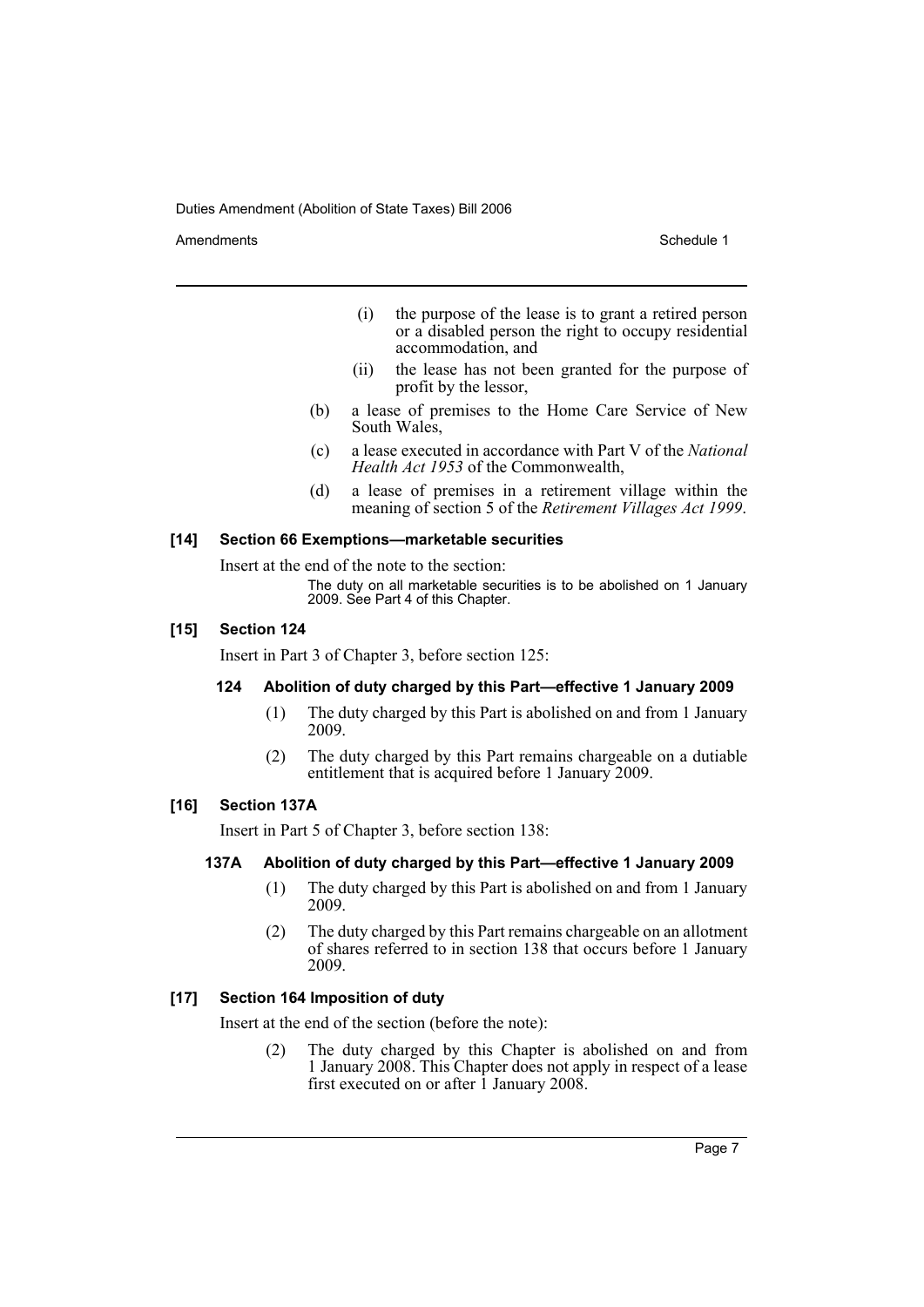Amendments **Amendments** Schedule 1

- (i) the purpose of the lease is to grant a retired person or a disabled person the right to occupy residential accommodation, and
- (ii) the lease has not been granted for the purpose of profit by the lessor,
- (b) a lease of premises to the Home Care Service of New South Wales,
- (c) a lease executed in accordance with Part V of the *National Health Act 1953* of the Commonwealth,
- (d) a lease of premises in a retirement village within the meaning of section 5 of the *Retirement Villages Act 1999*.

#### **[14] Section 66 Exemptions—marketable securities**

Insert at the end of the note to the section:

The duty on all marketable securities is to be abolished on 1 January 2009. See Part 4 of this Chapter.

#### **[15] Section 124**

Insert in Part 3 of Chapter 3, before section 125:

#### **124 Abolition of duty charged by this Part—effective 1 January 2009**

- (1) The duty charged by this Part is abolished on and from 1 January 2009.
- (2) The duty charged by this Part remains chargeable on a dutiable entitlement that is acquired before 1 January 2009.

#### **[16] Section 137A**

Insert in Part 5 of Chapter 3, before section 138:

#### **137A Abolition of duty charged by this Part—effective 1 January 2009**

- (1) The duty charged by this Part is abolished on and from 1 January 2009.
- (2) The duty charged by this Part remains chargeable on an allotment of shares referred to in section 138 that occurs before 1 January 2009.

# **[17] Section 164 Imposition of duty**

Insert at the end of the section (before the note):

(2) The duty charged by this Chapter is abolished on and from 1 January 2008. This Chapter does not apply in respect of a lease first executed on or after 1 January 2008.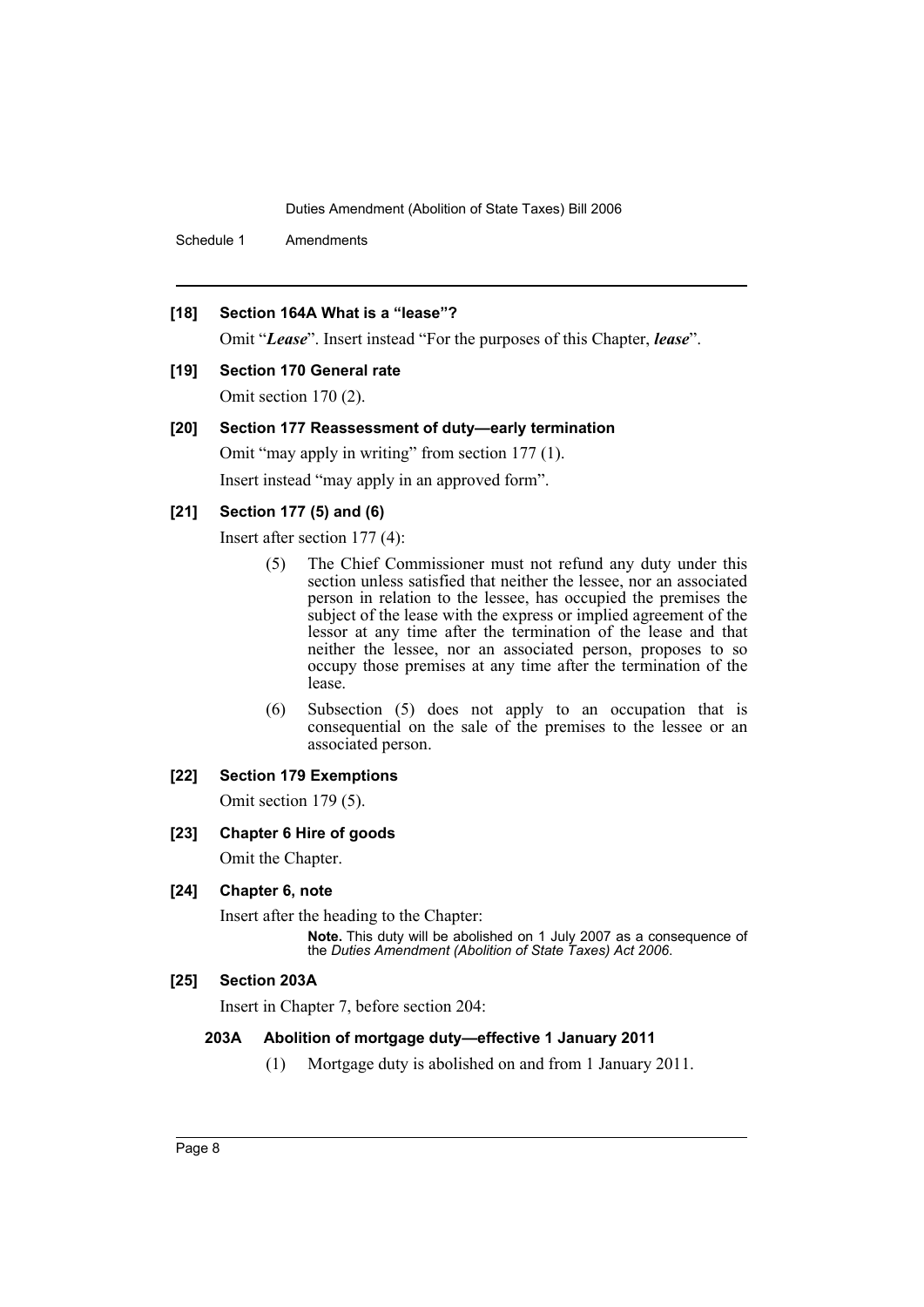Schedule 1 Amendments

# **[18] Section 164A What is a "lease"?**

Omit "*Lease*". Insert instead "For the purposes of this Chapter, *lease*".

# **[19] Section 170 General rate**

Omit section 170 (2).

#### **[20] Section 177 Reassessment of duty—early termination**

Omit "may apply in writing" from section 177 (1). Insert instead "may apply in an approved form".

# **[21] Section 177 (5) and (6)**

Insert after section 177 (4):

- (5) The Chief Commissioner must not refund any duty under this section unless satisfied that neither the lessee, nor an associated person in relation to the lessee, has occupied the premises the subject of the lease with the express or implied agreement of the lessor at any time after the termination of the lease and that neither the lessee, nor an associated person, proposes to so occupy those premises at any time after the termination of the lease.
- (6) Subsection (5) does not apply to an occupation that is consequential on the sale of the premises to the lessee or an associated person.

# **[22] Section 179 Exemptions**

Omit section 179 (5).

#### **[23] Chapter 6 Hire of goods**

Omit the Chapter.

# **[24] Chapter 6, note**

Insert after the heading to the Chapter:

**Note.** This duty will be abolished on 1 July 2007 as a consequence of the *Duties Amendment (Abolition of State Taxes) Act 2006*.

#### **[25] Section 203A**

Insert in Chapter 7, before section 204:

# **203A Abolition of mortgage duty—effective 1 January 2011**

(1) Mortgage duty is abolished on and from 1 January 2011.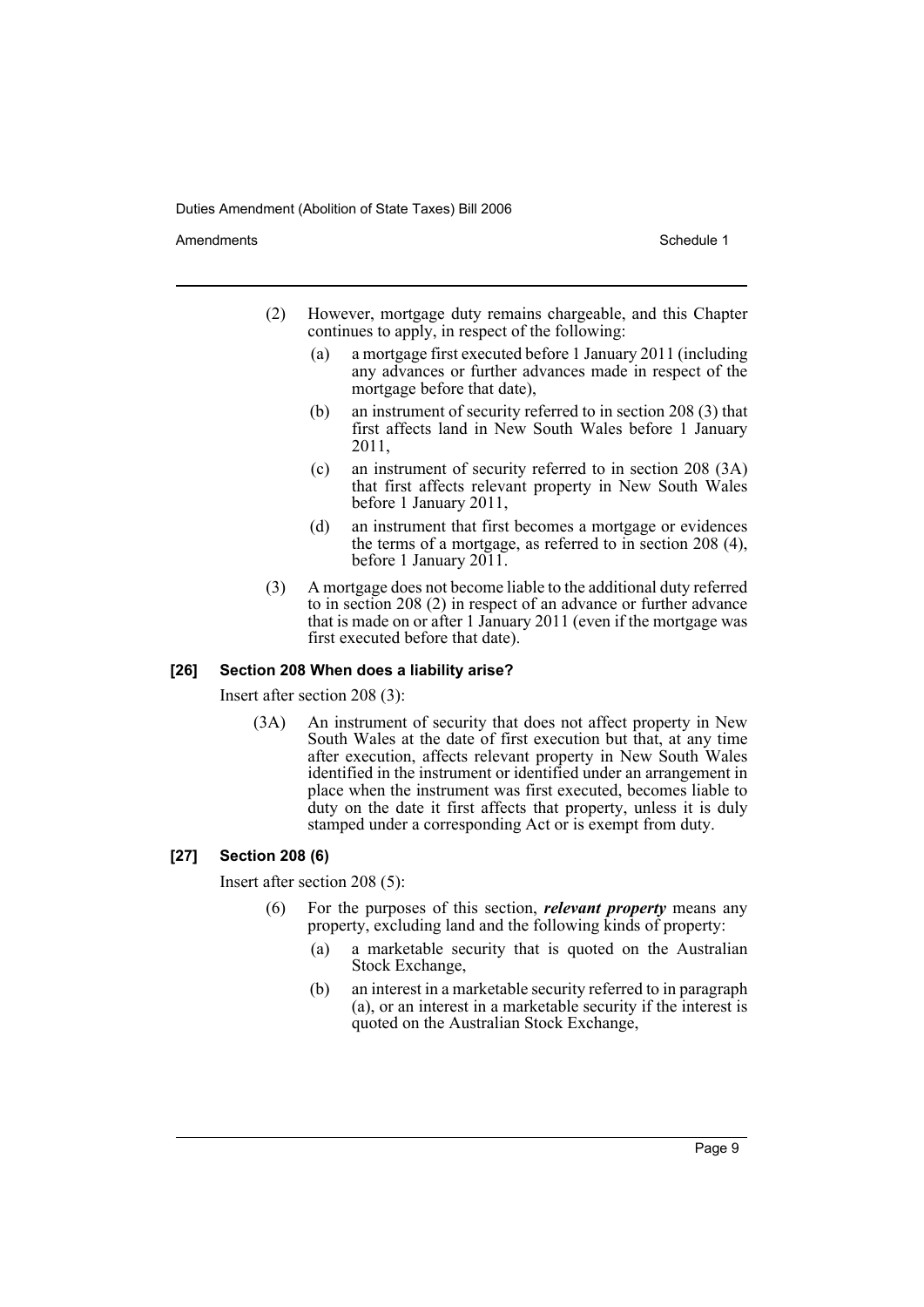Amendments **Amendments** Schedule 1

- (2) However, mortgage duty remains chargeable, and this Chapter continues to apply, in respect of the following:
	- (a) a mortgage first executed before 1 January 2011 (including any advances or further advances made in respect of the mortgage before that date),
	- (b) an instrument of security referred to in section 208 (3) that first affects land in New South Wales before 1 January 2011,
	- (c) an instrument of security referred to in section 208 (3A) that first affects relevant property in New South Wales before 1 January 2011,
	- (d) an instrument that first becomes a mortgage or evidences the terms of a mortgage, as referred to in section 208 (4), before 1 January 2011.
- (3) A mortgage does not become liable to the additional duty referred to in section 208 (2) in respect of an advance or further advance that is made on or after 1 January 2011 (even if the mortgage was first executed before that date).

#### **[26] Section 208 When does a liability arise?**

Insert after section 208 (3):

(3A) An instrument of security that does not affect property in New South Wales at the date of first execution but that, at any time after execution, affects relevant property in New South Wales identified in the instrument or identified under an arrangement in place when the instrument was first executed, becomes liable to duty on the date it first affects that property, unless it is duly stamped under a corresponding Act or is exempt from duty.

#### **[27] Section 208 (6)**

Insert after section 208 (5):

- (6) For the purposes of this section, *relevant property* means any property, excluding land and the following kinds of property:
	- (a) a marketable security that is quoted on the Australian Stock Exchange,
	- (b) an interest in a marketable security referred to in paragraph (a), or an interest in a marketable security if the interest is quoted on the Australian Stock Exchange,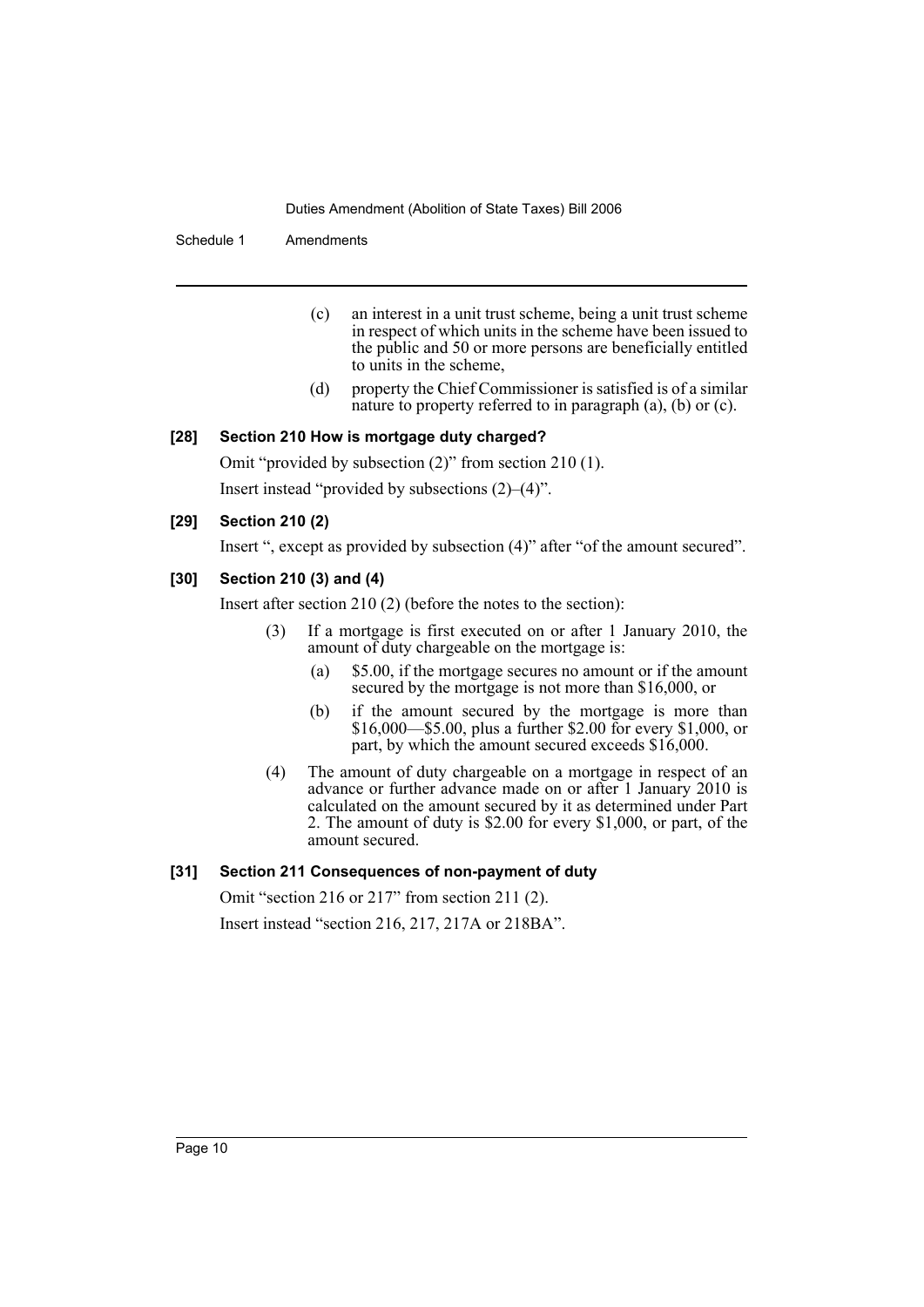Schedule 1 Amendments

- (c) an interest in a unit trust scheme, being a unit trust scheme in respect of which units in the scheme have been issued to the public and 50 or more persons are beneficially entitled to units in the scheme,
- (d) property the Chief Commissioner is satisfied is of a similar nature to property referred to in paragraph (a), (b) or (c).

# **[28] Section 210 How is mortgage duty charged?**

Omit "provided by subsection (2)" from section 210 (1). Insert instead "provided by subsections (2)–(4)".

# **[29] Section 210 (2)**

Insert ", except as provided by subsection (4)" after "of the amount secured".

# **[30] Section 210 (3) and (4)**

Insert after section 210 (2) (before the notes to the section):

- (3) If a mortgage is first executed on or after 1 January 2010, the amount of duty chargeable on the mortgage is:
	- (a) \$5.00, if the mortgage secures no amount or if the amount secured by the mortgage is not more than \$16,000, or
	- (b) if the amount secured by the mortgage is more than \$16,000—\$5.00, plus a further \$2.00 for every \$1,000, or part, by which the amount secured exceeds \$16,000.
- (4) The amount of duty chargeable on a mortgage in respect of an advance or further advance made on or after 1 January 2010 is calculated on the amount secured by it as determined under Part 2. The amount of duty is \$2.00 for every \$1,000, or part, of the amount secured.

# **[31] Section 211 Consequences of non-payment of duty**

Omit "section 216 or 217" from section 211 (2). Insert instead "section 216, 217, 217A or 218BA".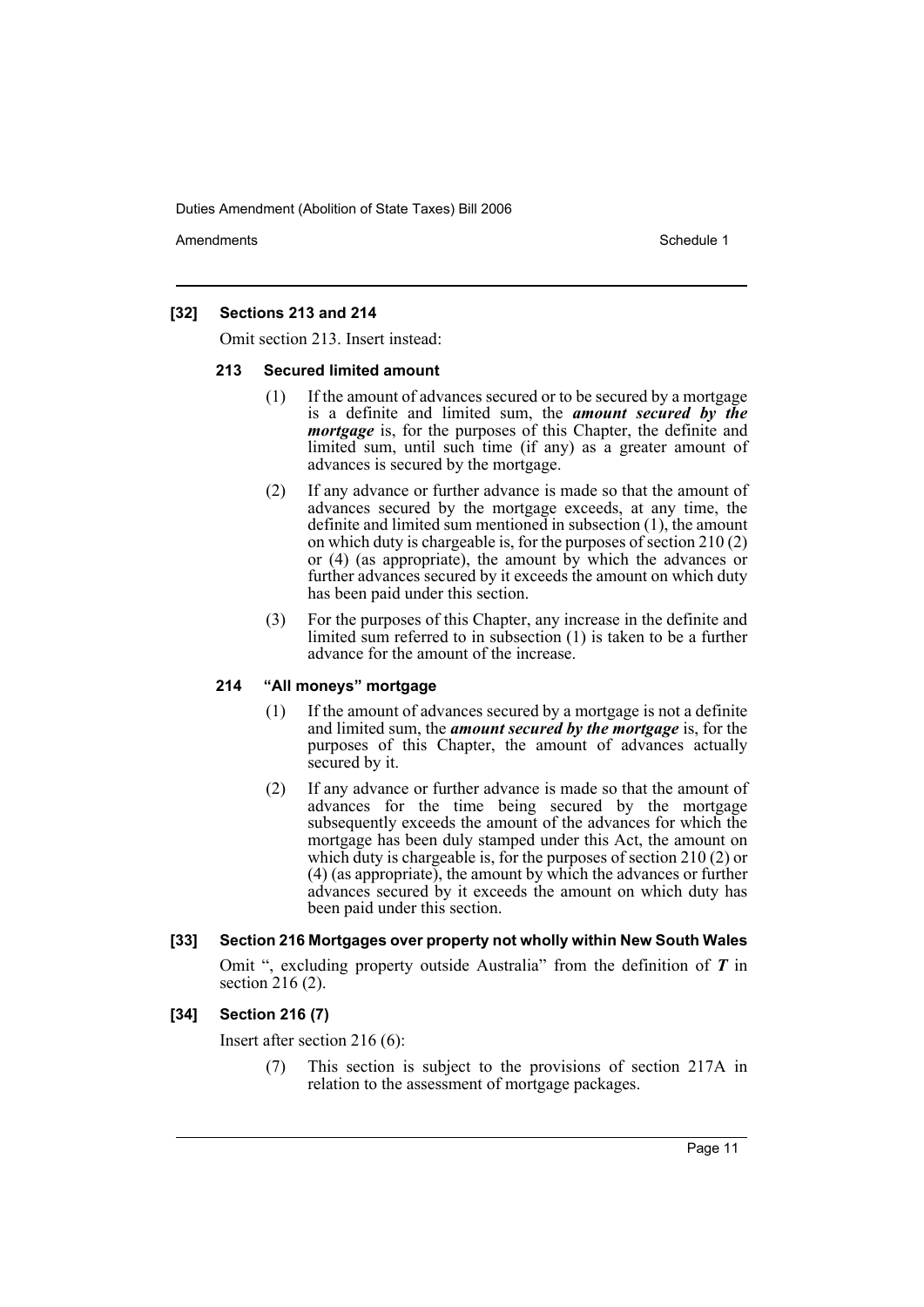Amendments **Amendments** Schedule 1

# **[32] Sections 213 and 214**

Omit section 213. Insert instead:

#### **213 Secured limited amount**

- (1) If the amount of advances secured or to be secured by a mortgage is a definite and limited sum, the *amount secured by the mortgage* is, for the purposes of this Chapter, the definite and limited sum, until such time (if any) as a greater amount of advances is secured by the mortgage.
- (2) If any advance or further advance is made so that the amount of advances secured by the mortgage exceeds, at any time, the definite and limited sum mentioned in subsection (1), the amount on which duty is chargeable is, for the purposes of section 210 (2) or  $(4)$  (as appropriate), the amount by which the advances or further advances secured by it exceeds the amount on which duty has been paid under this section.
- (3) For the purposes of this Chapter, any increase in the definite and limited sum referred to in subsection (1) is taken to be a further advance for the amount of the increase.

### **214 "All moneys" mortgage**

- (1) If the amount of advances secured by a mortgage is not a definite and limited sum, the *amount secured by the mortgage* is, for the purposes of this Chapter, the amount of advances actually secured by it.
- (2) If any advance or further advance is made so that the amount of advances for the time being secured by the mortgage subsequently exceeds the amount of the advances for which the mortgage has been duly stamped under this Act, the amount on which duty is chargeable is, for the purposes of section 210 (2) or (4) (as appropriate), the amount by which the advances or further advances secured by it exceeds the amount on which duty has been paid under this section.

#### **[33] Section 216 Mortgages over property not wholly within New South Wales**

Omit ", excluding property outside Australia" from the definition of *T* in section  $216(2)$ .

#### **[34] Section 216 (7)**

Insert after section 216 (6):

(7) This section is subject to the provisions of section 217A in relation to the assessment of mortgage packages.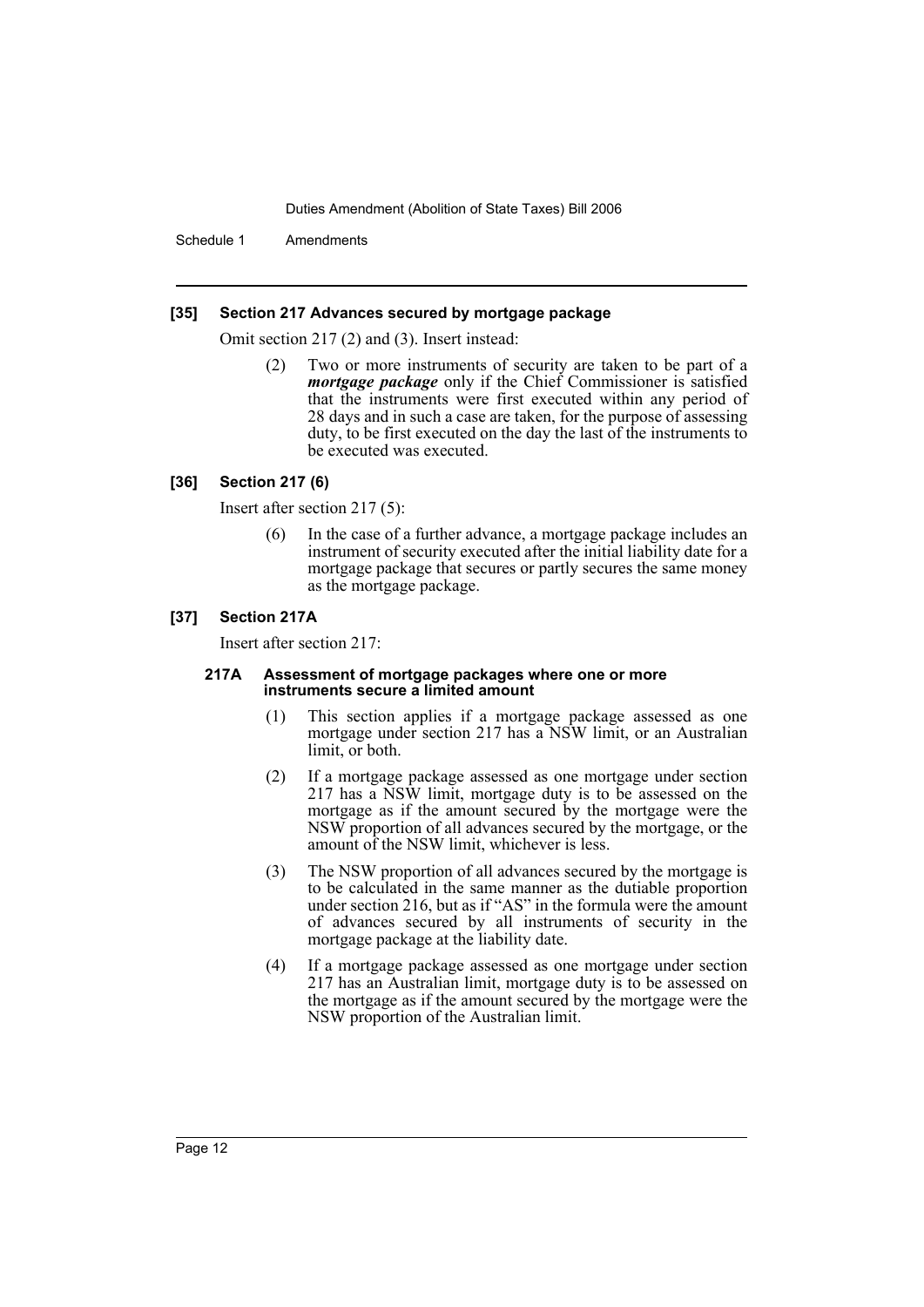Schedule 1 Amendments

#### **[35] Section 217 Advances secured by mortgage package**

Omit section 217 (2) and (3). Insert instead:

Two or more instruments of security are taken to be part of a *mortgage package* only if the Chief Commissioner is satisfied that the instruments were first executed within any period of 28 days and in such a case are taken, for the purpose of assessing duty, to be first executed on the day the last of the instruments to be executed was executed.

#### **[36] Section 217 (6)**

Insert after section 217 (5):

In the case of a further advance, a mortgage package includes an instrument of security executed after the initial liability date for a mortgage package that secures or partly secures the same money as the mortgage package.

#### **[37] Section 217A**

Insert after section 217:

#### **217A Assessment of mortgage packages where one or more instruments secure a limited amount**

- (1) This section applies if a mortgage package assessed as one mortgage under section 217 has a NSW limit, or an Australian limit, or both.
- (2) If a mortgage package assessed as one mortgage under section 217 has a NSW limit, mortgage duty is to be assessed on the mortgage as if the amount secured by the mortgage were the NSW proportion of all advances secured by the mortgage, or the amount of the NSW limit, whichever is less.
- (3) The NSW proportion of all advances secured by the mortgage is to be calculated in the same manner as the dutiable proportion under section 216, but as if "AS" in the formula were the amount of advances secured by all instruments of security in the mortgage package at the liability date.
- (4) If a mortgage package assessed as one mortgage under section 217 has an Australian limit, mortgage duty is to be assessed on the mortgage as if the amount secured by the mortgage were the NSW proportion of the Australian limit.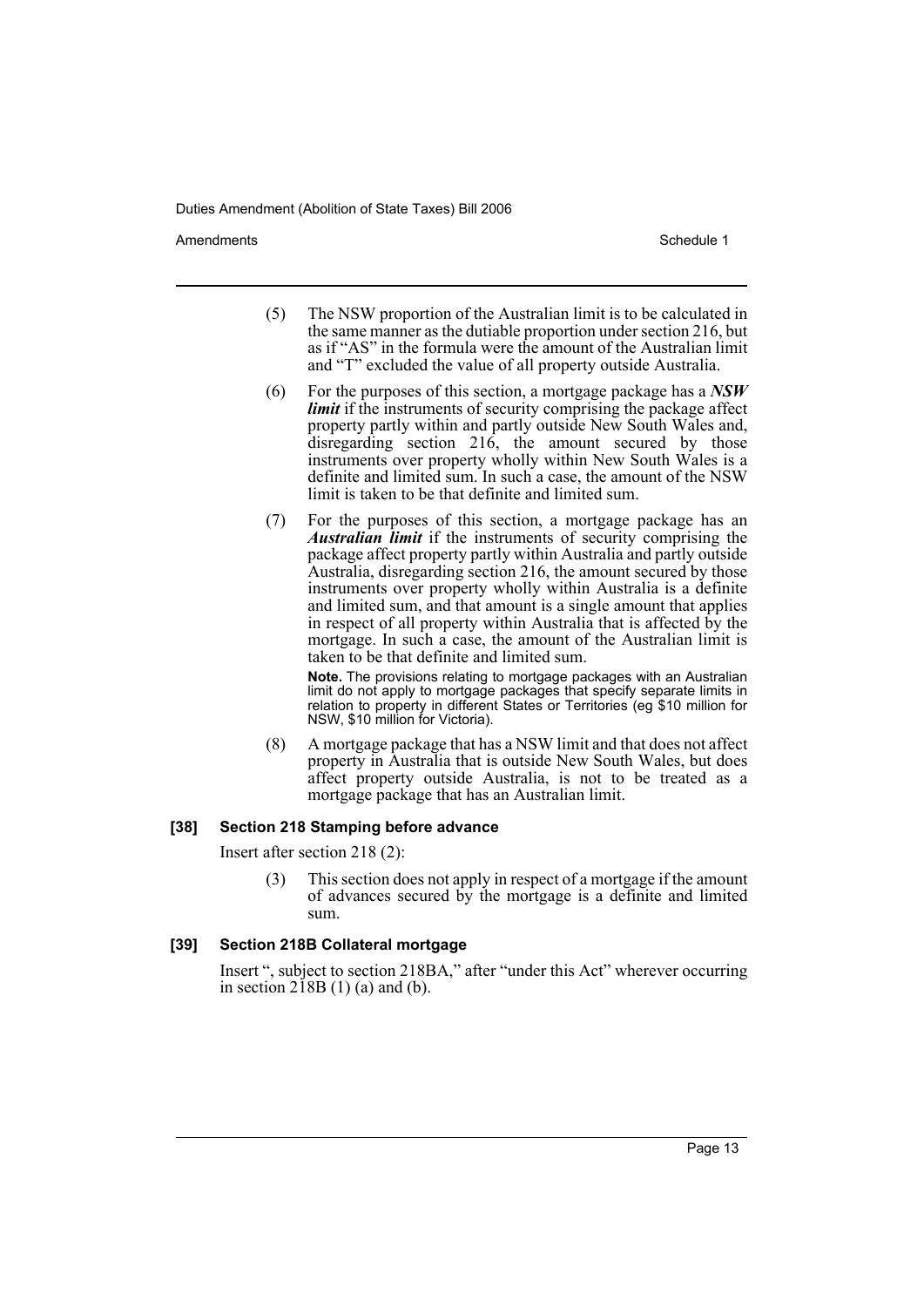Amendments **Amendments** Schedule 1

- (5) The NSW proportion of the Australian limit is to be calculated in the same manner as the dutiable proportion under section 216, but as if "AS" in the formula were the amount of the Australian limit and "T" excluded the value of all property outside Australia.
- (6) For the purposes of this section, a mortgage package has a *NSW limit* if the instruments of security comprising the package affect property partly within and partly outside New South Wales and, disregarding section  $216$ , the amount secured by those instruments over property wholly within New South Wales is a definite and limited sum. In such a case, the amount of the NSW limit is taken to be that definite and limited sum.
- (7) For the purposes of this section, a mortgage package has an *Australian limit* if the instruments of security comprising the package affect property partly within Australia and partly outside Australia, disregarding section 216, the amount secured by those instruments over property wholly within Australia is a definite and limited sum, and that amount is a single amount that applies in respect of all property within Australia that is affected by the mortgage. In such a case, the amount of the Australian limit is taken to be that definite and limited sum.

**Note.** The provisions relating to mortgage packages with an Australian limit do not apply to mortgage packages that specify separate limits in relation to property in different States or Territories (eg \$10 million for NSW, \$10 million for Victoria).

(8) A mortgage package that has a NSW limit and that does not affect property in Australia that is outside New South Wales, but does affect property outside Australia, is not to be treated as a mortgage package that has an Australian limit.

#### **[38] Section 218 Stamping before advance**

Insert after section 218 (2):

This section does not apply in respect of a mortgage if the amount of advances secured by the mortgage is a definite and limited sum.

#### **[39] Section 218B Collateral mortgage**

Insert ", subject to section 218BA," after "under this Act" wherever occurring in section  $218B(1)$  (a) and (b).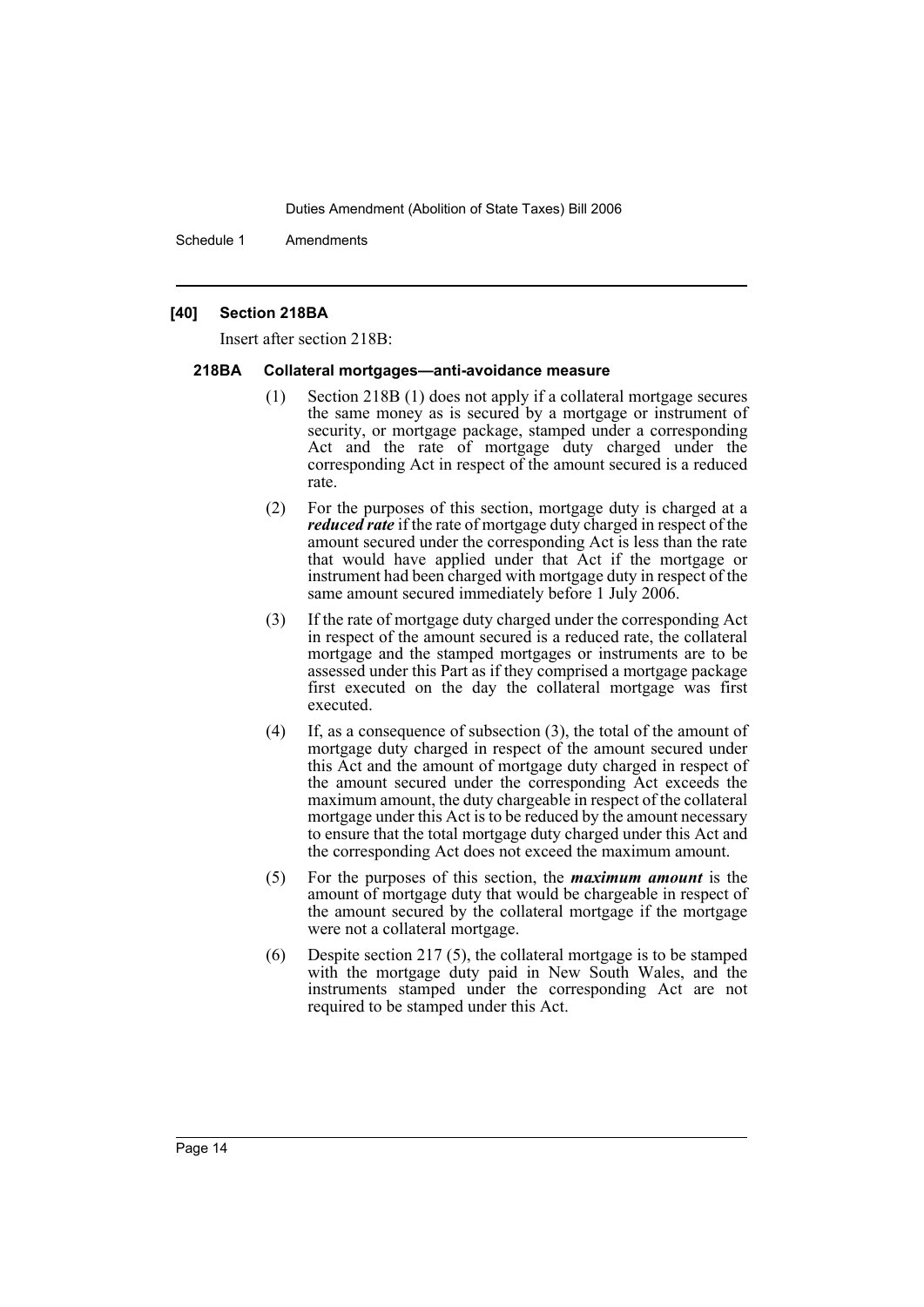Schedule 1 Amendments

#### **[40] Section 218BA**

Insert after section 218B:

#### **218BA Collateral mortgages—anti-avoidance measure**

- (1) Section 218B (1) does not apply if a collateral mortgage secures the same money as is secured by a mortgage or instrument of security, or mortgage package, stamped under a corresponding Act and the rate of mortgage duty charged under the corresponding Act in respect of the amount secured is a reduced rate.
- (2) For the purposes of this section, mortgage duty is charged at a *reduced rate* if the rate of mortgage duty charged in respect of the amount secured under the corresponding Act is less than the rate that would have applied under that Act if the mortgage or instrument had been charged with mortgage duty in respect of the same amount secured immediately before 1 July 2006.
- (3) If the rate of mortgage duty charged under the corresponding Act in respect of the amount secured is a reduced rate, the collateral mortgage and the stamped mortgages or instruments are to be assessed under this Part as if they comprised a mortgage package first executed on the day the collateral mortgage was first executed.
- (4) If, as a consequence of subsection (3), the total of the amount of mortgage duty charged in respect of the amount secured under this Act and the amount of mortgage duty charged in respect of the amount secured under the corresponding Act exceeds the maximum amount, the duty chargeable in respect of the collateral mortgage under this Act is to be reduced by the amount necessary to ensure that the total mortgage duty charged under this Act and the corresponding Act does not exceed the maximum amount.
- (5) For the purposes of this section, the *maximum amount* is the amount of mortgage duty that would be chargeable in respect of the amount secured by the collateral mortgage if the mortgage were not a collateral mortgage.
- (6) Despite section 217 (5), the collateral mortgage is to be stamped with the mortgage duty paid in New South Wales, and the instruments stamped under the corresponding Act are not required to be stamped under this Act.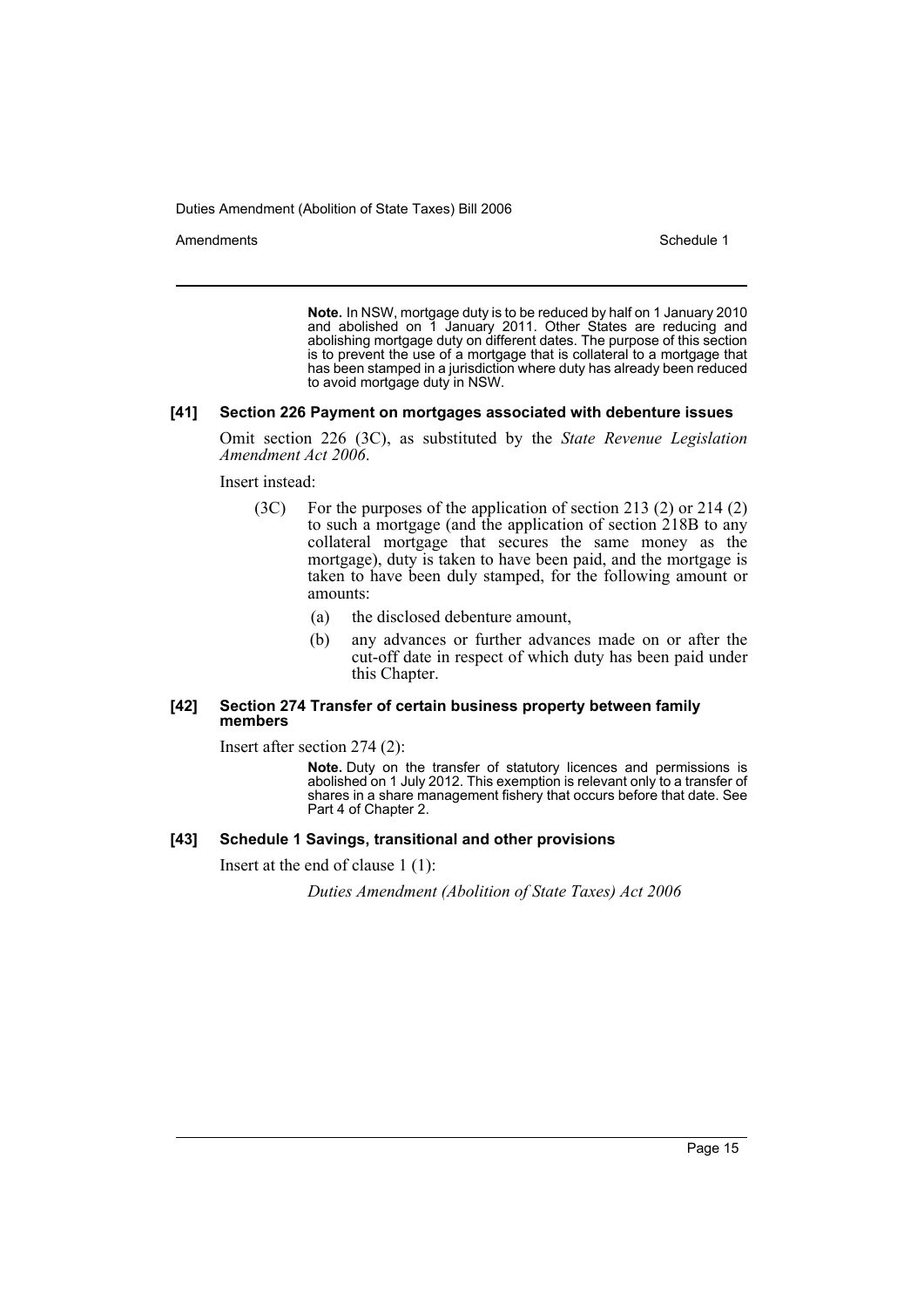Amendments **Amendments** Schedule 1

**Note.** In NSW, mortgage duty is to be reduced by half on 1 January 2010 and abolished on 1 January 2011. Other States are reducing and abolishing mortgage duty on different dates. The purpose of this section is to prevent the use of a mortgage that is collateral to a mortgage that has been stamped in a jurisdiction where duty has already been reduced to avoid mortgage duty in NSW.

#### **[41] Section 226 Payment on mortgages associated with debenture issues**

Omit section 226 (3C), as substituted by the *State Revenue Legislation Amendment Act 2006*.

Insert instead:

- (3C) For the purposes of the application of section 213 (2) or 214 (2) to such a mortgage (and the application of section 218B to any collateral mortgage that secures the same money as the mortgage), duty is taken to have been paid, and the mortgage is taken to have been duly stamped, for the following amount or amounts:
	- (a) the disclosed debenture amount,
	- (b) any advances or further advances made on or after the cut-off date in respect of which duty has been paid under this Chapter.

#### **[42] Section 274 Transfer of certain business property between family members**

Insert after section 274 (2):

**Note.** Duty on the transfer of statutory licences and permissions is abolished on 1 July 2012. This exemption is relevant only to a transfer of shares in a share management fishery that occurs before that date. See Part 4 of Chapter 2.

#### **[43] Schedule 1 Savings, transitional and other provisions**

Insert at the end of clause 1 (1):

*Duties Amendment (Abolition of State Taxes) Act 2006*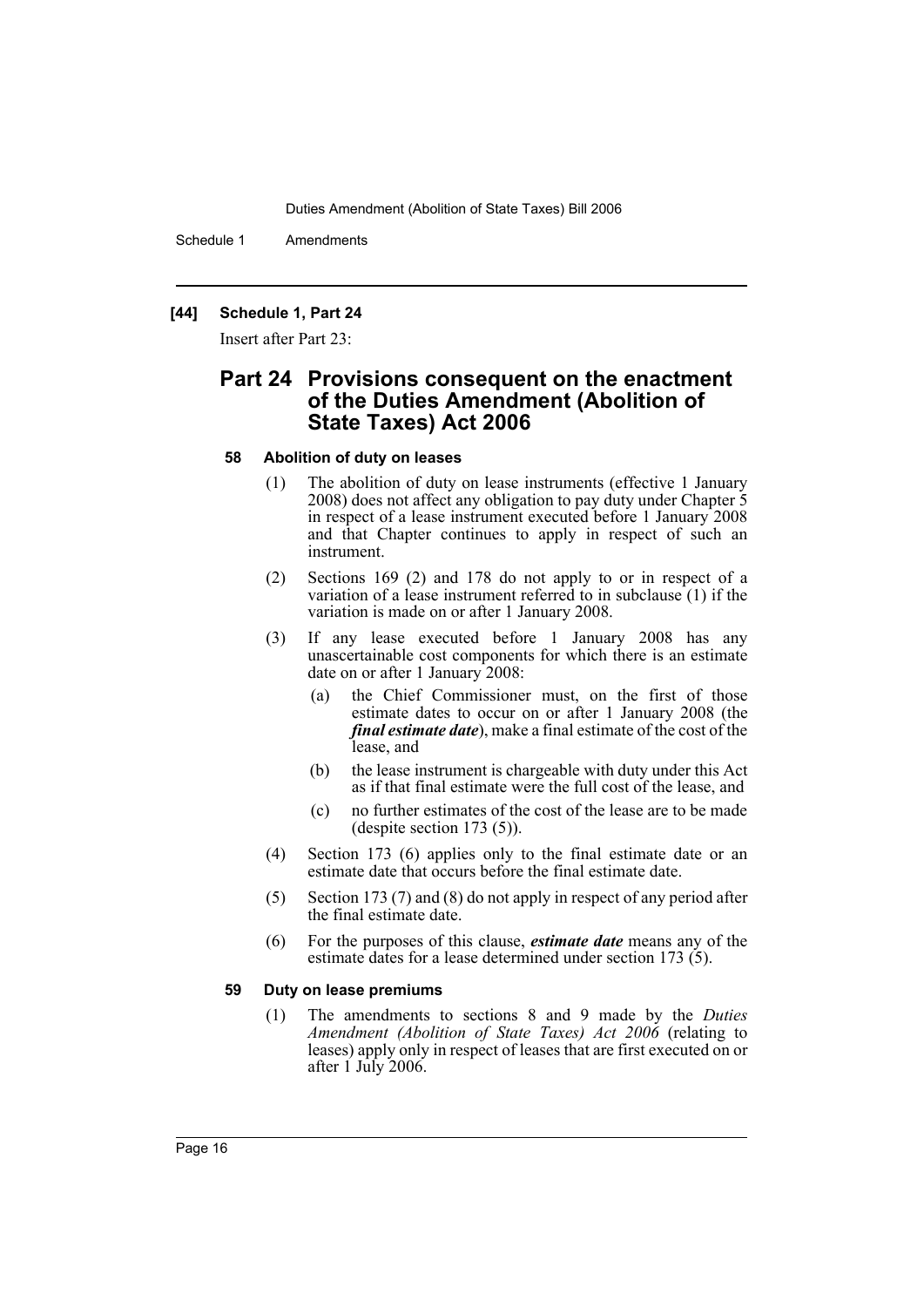Schedule 1 Amendments

# **[44] Schedule 1, Part 24**

Insert after Part 23:

# **Part 24 Provisions consequent on the enactment of the Duties Amendment (Abolition of State Taxes) Act 2006**

#### **58 Abolition of duty on leases**

- (1) The abolition of duty on lease instruments (effective 1 January 2008) does not affect any obligation to pay duty under Chapter 5 in respect of a lease instrument executed before 1 January 2008 and that Chapter continues to apply in respect of such an instrument.
- (2) Sections 169 (2) and 178 do not apply to or in respect of a variation of a lease instrument referred to in subclause (1) if the variation is made on or after 1 January 2008.
- (3) If any lease executed before 1 January 2008 has any unascertainable cost components for which there is an estimate date on or after 1 January 2008:
	- (a) the Chief Commissioner must, on the first of those estimate dates to occur on or after 1 January 2008 (the *final estimate date*), make a final estimate of the cost of the lease, and
	- (b) the lease instrument is chargeable with duty under this Act as if that final estimate were the full cost of the lease, and
	- (c) no further estimates of the cost of the lease are to be made (despite section 173 (5)).
- (4) Section 173 (6) applies only to the final estimate date or an estimate date that occurs before the final estimate date.
- (5) Section 173 (7) and (8) do not apply in respect of any period after the final estimate date.
- (6) For the purposes of this clause, *estimate date* means any of the estimate dates for a lease determined under section 173 (5).

#### **59 Duty on lease premiums**

(1) The amendments to sections 8 and 9 made by the *Duties Amendment (Abolition of State Taxes) Act 2006* (relating to leases) apply only in respect of leases that are first executed on or after 1 July 2006.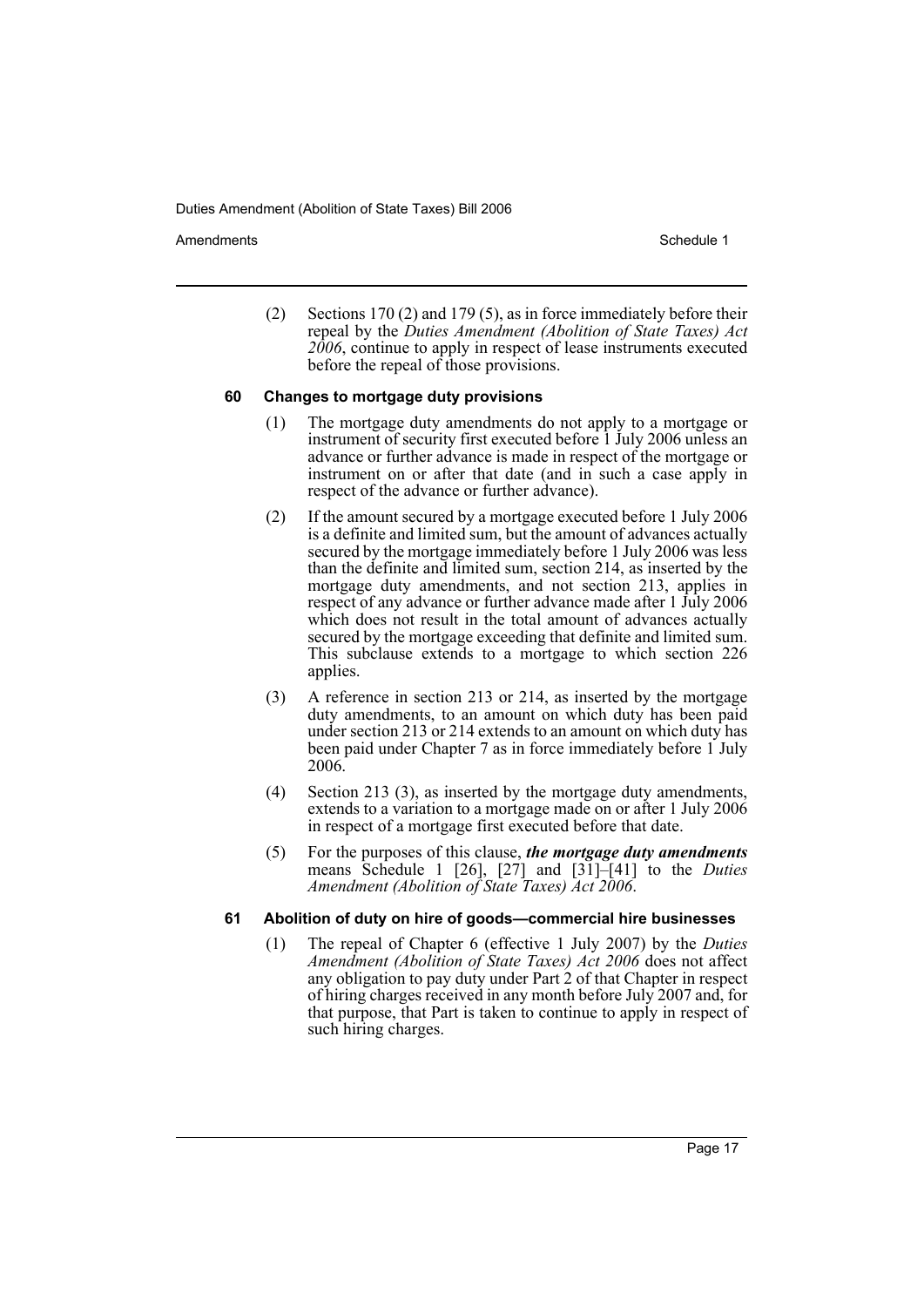Amendments **Amendments** Schedule 1

(2) Sections 170 (2) and 179 (5), as in force immediately before their repeal by the *Duties Amendment (Abolition of State Taxes) Act 2006*, continue to apply in respect of lease instruments executed before the repeal of those provisions.

#### **60 Changes to mortgage duty provisions**

- (1) The mortgage duty amendments do not apply to a mortgage or instrument of security first executed before 1 July 2006 unless an advance or further advance is made in respect of the mortgage or instrument on or after that date (and in such a case apply in respect of the advance or further advance).
- (2) If the amount secured by a mortgage executed before 1 July 2006 is a definite and limited sum, but the amount of advances actually secured by the mortgage immediately before 1 July 2006 was less than the definite and limited sum, section 214, as inserted by the mortgage duty amendments, and not section 213, applies in respect of any advance or further advance made after 1 July 2006 which does not result in the total amount of advances actually secured by the mortgage exceeding that definite and limited sum. This subclause extends to a mortgage to which section 226 applies.
- (3) A reference in section 213 or 214, as inserted by the mortgage duty amendments, to an amount on which duty has been paid under section 213 or 214 extends to an amount on which duty has been paid under Chapter 7 as in force immediately before 1 July 2006.
- (4) Section 213 (3), as inserted by the mortgage duty amendments, extends to a variation to a mortgage made on or after 1 July 2006 in respect of a mortgage first executed before that date.
- (5) For the purposes of this clause, *the mortgage duty amendments* means Schedule 1 [26], [27] and [31]–[41] to the *Duties Amendment (Abolition of State Taxes) Act 2006*.

#### **61 Abolition of duty on hire of goods—commercial hire businesses**

(1) The repeal of Chapter 6 (effective 1 July 2007) by the *Duties Amendment (Abolition of State Taxes) Act 2006* does not affect any obligation to pay duty under Part 2 of that Chapter in respect of hiring charges received in any month before July 2007 and, for that purpose, that Part is taken to continue to apply in respect of such hiring charges.